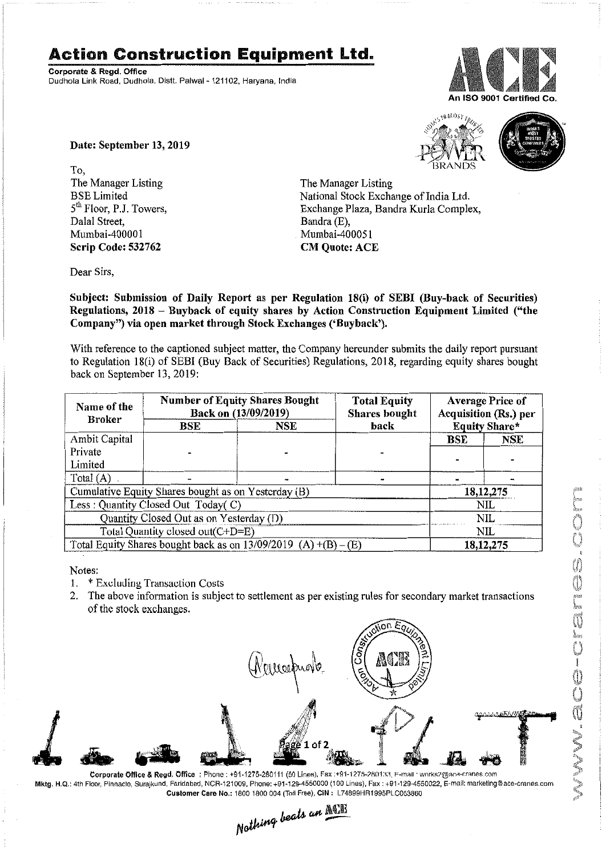## **Action Construction Equipment Ltd.**

Corporate & Regd. Office Dudhola Link Road, Dudhola, Distt, Palwal- 121102, Haryana, India



Date: September 13,2019

To, The Manager Listing BSE Limited 5<sup>th</sup> Floor, P.J. Towers, Dalal Street, Mumbai-40000 1 Scrip Code: 532762





The Manager Listing National Stock Exchange of India Ltd. Exchange Plaza, Bandra Kurla Complex, Bandra (E), Mumbai-400051 CM Quote: ACE

Dear Sirs,

Subject: Submission of Daily Report as per Regulation 18(i) of SEBI (Buy-back of Securities) Regulations, 2018 - Buyback of equity shares by Action Construction Equipment Limited ("the Company") via open market through Stock Exchanges ('Buyback').

With reference to the captioned subject matter, the Company hereunder submits the daily report pursuant to Regulation 18(i) of SEBI (Buy Back of Securities) Regulations, 2018, regarding equity shares bought back on September 13, 2019:

| Name of the<br><b>Broker</b>                                      | <b>Number of Equity Shares Bought</b><br>Back on (13/09/2019) |            | <b>Total Equity</b><br><b>Shares</b> bought | <b>Average Price of</b><br>Acquisition (Rs.) per |             |  |
|-------------------------------------------------------------------|---------------------------------------------------------------|------------|---------------------------------------------|--------------------------------------------------|-------------|--|
|                                                                   | BSE                                                           | <b>NSE</b> | back                                        | Equity Share*                                    |             |  |
| Ambit Capital                                                     |                                                               |            |                                             | <b>BSE</b>                                       | <b>NSE</b>  |  |
| Private                                                           |                                                               |            |                                             |                                                  |             |  |
| Limited                                                           |                                                               |            |                                             |                                                  |             |  |
| Total $(A)$                                                       |                                                               |            |                                             |                                                  |             |  |
| Cumulative Equity Shares bought as on Yesterday (B)               |                                                               |            |                                             |                                                  | 18, 12, 275 |  |
| Less: Quantity Closed Out Today(C)                                |                                                               |            |                                             | NIL                                              |             |  |
| Quantity Closed Out as on Yesterday (D)                           |                                                               |            |                                             | NIL                                              |             |  |
| Total Quantity closed out(C+D=E)                                  |                                                               |            |                                             | <b>NIL</b>                                       |             |  |
| Total Equity Shares bought back as on $13/09/2019$ (A) +(B) – (E) |                                                               |            |                                             | 18, 12, 275                                      |             |  |

Notes:

1.  $*$  Excluding Transaction Costs

2. The above information is subject to settlement as per existing rules for secondary market transactions of the stock exchanges.



Corporate Office & Regd. Office: Phone: +91-1275-280111 (50 Lines), Fax :+91-1275-280133, F-mail: works2@ace-cranes.com Mktg. H.Q.:4th Floor,Pinnacle, Surajkund, Faridabad, NCR-121009, Phone: +91-129·4550000 (100 lines), Fax: +91·129·4550022, E-mail:marketlng@ace,cranes.com Customer Care No.: 18001800004 (Toll Free), CIN: L74899HR1995PL.C053860 .

Nothing beats an ACB